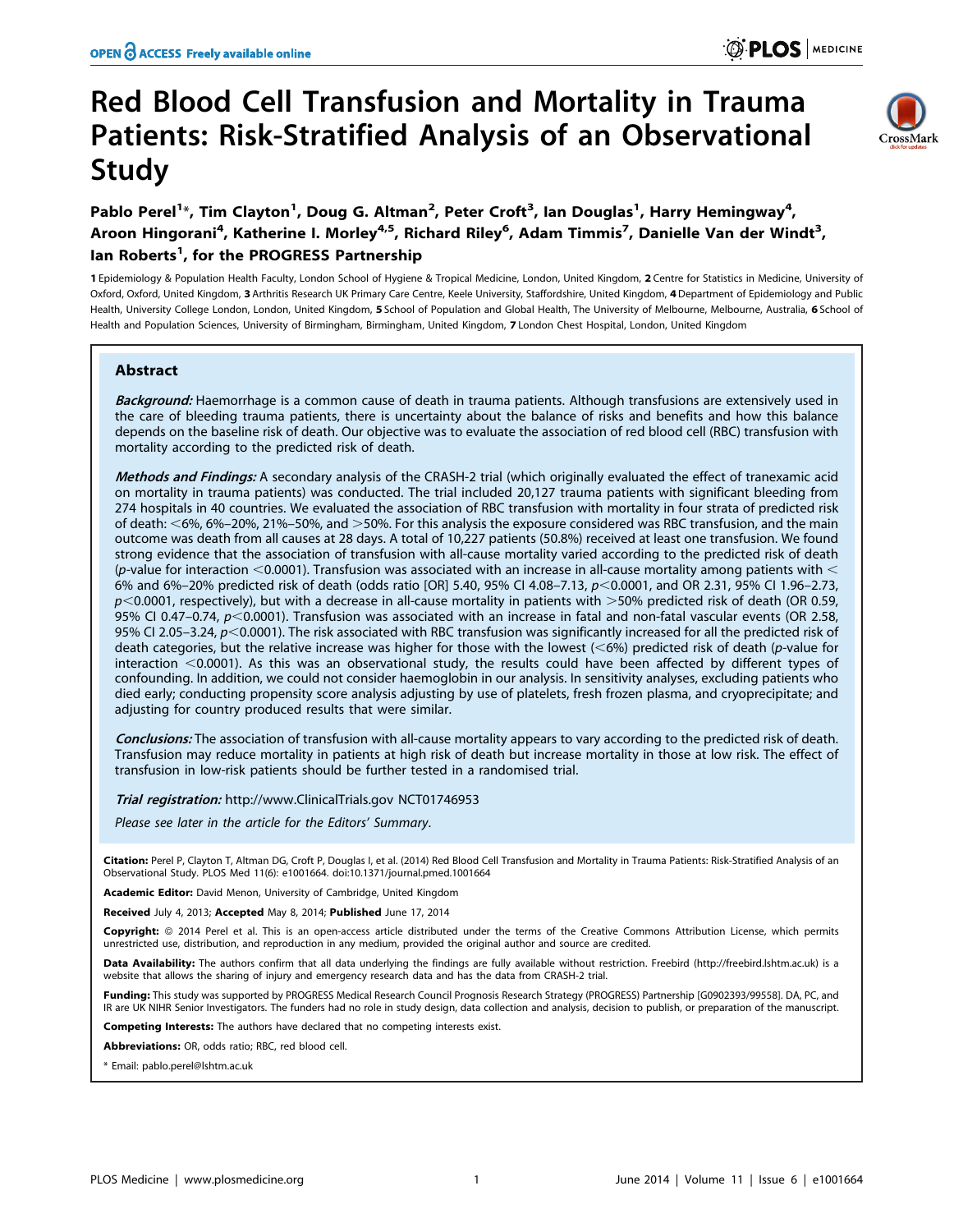# Red Blood Cell Transfusion and Mortality in Trauma Patients: Risk-Stratified Analysis of an Observational Study



### Pablo Perel<sup>1</sup>\*, Tim Clayton<sup>1</sup>, Doug G. Altman<sup>2</sup>, Peter Croft<sup>3</sup>, Ian Douglas<sup>1</sup>, Harry Hemingway<sup>4</sup>, Aroon Hingorani<sup>4</sup>, Katherine I. Morley<sup>4,5</sup>, Richard Riley<sup>6</sup>, Adam Timmis<sup>7</sup>, Danielle Van der Windt<sup>3</sup>, lan Roberts<sup>1</sup>, for the PROGRESS Partnership

1 Epidemiology & Population Health Faculty, London School of Hygiene & Tropical Medicine, London, United Kingdom, 2 Centre for Statistics in Medicine, University of Oxford, Oxford, United Kingdom, 3 Arthritis Research UK Primary Care Centre, Keele University, Staffordshire, United Kingdom, 4 Department of Epidemiology and Public Health, University College London, London, United Kingdom, 5 School of Population and Global Health, The University of Melbourne, Melbourne, Australia, 6 School of Health and Population Sciences, University of Birmingham, Birmingham, United Kingdom, 7 London Chest Hospital, London, United Kingdom

#### Abstract

Background: Haemorrhage is a common cause of death in trauma patients. Although transfusions are extensively used in the care of bleeding trauma patients, there is uncertainty about the balance of risks and benefits and how this balance depends on the baseline risk of death. Our objective was to evaluate the association of red blood cell (RBC) transfusion with mortality according to the predicted risk of death.

Methods and Findings: A secondary analysis of the CRASH-2 trial (which originally evaluated the effect of tranexamic acid on mortality in trauma patients) was conducted. The trial included 20,127 trauma patients with significant bleeding from 274 hospitals in 40 countries. We evaluated the association of RBC transfusion with mortality in four strata of predicted risk of death: <6%, 6%–20%, 21%–50%, and >50%. For this analysis the exposure considered was RBC transfusion, and the main outcome was death from all causes at 28 days. A total of 10,227 patients (50.8%) received at least one transfusion. We found strong evidence that the association of transfusion with all-cause mortality varied according to the predicted risk of death (p-value for interaction  $<$  0.0001). Transfusion was associated with an increase in all-cause mortality among patients with  $<$ 6% and 6%-20% predicted risk of death (odds ratio [OR] 5.40, 95% CI 4.08-7.13, p<0.0001, and OR 2.31, 95% CI 1.96-2.73,  $p$ <0.0001, respectively), but with a decrease in all-cause mortality in patients with  $>$ 50% predicted risk of death (OR 0.59, 95% CI 0.47-0.74,  $p<0.0001$ ). Transfusion was associated with an increase in fatal and non-fatal vascular events (OR 2.58, 95% CI 2.05–3.24,  $p<0.0001$ ). The risk associated with RBC transfusion was significantly increased for all the predicted risk of death categories, but the relative increase was higher for those with the lowest  $(<,6\%)$  predicted risk of death (p-value for interaction <0.0001). As this was an observational study, the results could have been affected by different types of confounding. In addition, we could not consider haemoglobin in our analysis. In sensitivity analyses, excluding patients who died early; conducting propensity score analysis adjusting by use of platelets, fresh frozen plasma, and cryoprecipitate; and adjusting for country produced results that were similar.

Conclusions: The association of transfusion with all-cause mortality appears to vary according to the predicted risk of death. Transfusion may reduce mortality in patients at high risk of death but increase mortality in those at low risk. The effect of transfusion in low-risk patients should be further tested in a randomised trial.

Trial registration: <http://www.ClinicalTrials.gov> [NCT01746953](http://clinicaltrials.gov/ct2/show/NCT01746953)

Please see later in the article for the Editors' Summary.

Citation: Perel P, Clayton T, Altman DG, Croft P, Douglas I, et al. (2014) Red Blood Cell Transfusion and Mortality in Trauma Patients: Risk-Stratified Analysis of an Observational Study. PLOS Med 11(6): e1001664. doi:10.1371/journal.pmed.1001664

Academic Editor: David Menon, University of Cambridge, United Kingdom

Received July 4, 2013; Accepted May 8, 2014; Published June 17, 2014

Copyright: © 2014 Perel et al. This is an open-access article distributed under the terms of the [Creative Commons Attribution License,](http://creativecommons.org/licenses/by/4.0/) which permits unrestricted use, distribution, and reproduction in any medium, provided the original author and source are credited.

Data Availability: The authors confirm that all data underlying the findings are fully available without restriction. Freebird (http://freebird.lshtm.ac.uk) is a website that allows the sharing of injury and emergency research data and has the data from CRASH-2 trial.

Funding: This study was supported by PROGRESS Medical Research Council Prognosis Research Strategy (PROGRESS) Partnership [G0902393/99558]. DA, PC, and IR are UK NIHR Senior Investigators. The funders had no role in study design, data collection and analysis, decision to publish, or preparation of the manuscript.

Competing Interests: The authors have declared that no competing interests exist.

Abbreviations: OR, odds ratio; RBC, red blood cell.

\* Email: pablo.perel@lshtm.ac.uk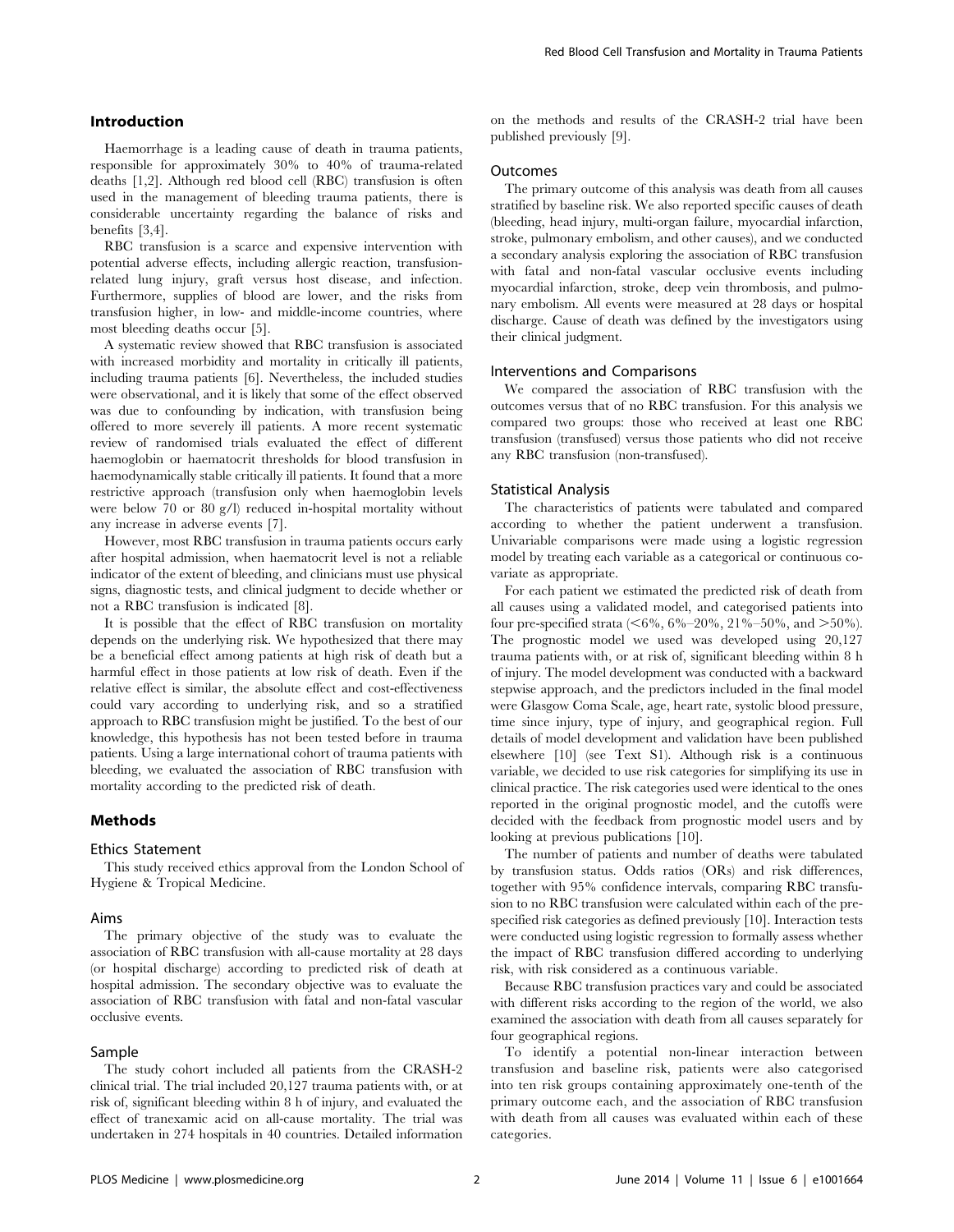#### Introduction

Haemorrhage is a leading cause of death in trauma patients, responsible for approximately 30% to 40% of trauma-related deaths [1,2]. Although red blood cell (RBC) transfusion is often used in the management of bleeding trauma patients, there is considerable uncertainty regarding the balance of risks and benefits [3,4].

RBC transfusion is a scarce and expensive intervention with potential adverse effects, including allergic reaction, transfusionrelated lung injury, graft versus host disease, and infection. Furthermore, supplies of blood are lower, and the risks from transfusion higher, in low- and middle-income countries, where most bleeding deaths occur [5].

A systematic review showed that RBC transfusion is associated with increased morbidity and mortality in critically ill patients, including trauma patients [6]. Nevertheless, the included studies were observational, and it is likely that some of the effect observed was due to confounding by indication, with transfusion being offered to more severely ill patients. A more recent systematic review of randomised trials evaluated the effect of different haemoglobin or haematocrit thresholds for blood transfusion in haemodynamically stable critically ill patients. It found that a more restrictive approach (transfusion only when haemoglobin levels were below 70 or 80 g/l) reduced in-hospital mortality without any increase in adverse events [7].

However, most RBC transfusion in trauma patients occurs early after hospital admission, when haematocrit level is not a reliable indicator of the extent of bleeding, and clinicians must use physical signs, diagnostic tests, and clinical judgment to decide whether or not a RBC transfusion is indicated [8].

It is possible that the effect of RBC transfusion on mortality depends on the underlying risk. We hypothesized that there may be a beneficial effect among patients at high risk of death but a harmful effect in those patients at low risk of death. Even if the relative effect is similar, the absolute effect and cost-effectiveness could vary according to underlying risk, and so a stratified approach to RBC transfusion might be justified. To the best of our knowledge, this hypothesis has not been tested before in trauma patients. Using a large international cohort of trauma patients with bleeding, we evaluated the association of RBC transfusion with mortality according to the predicted risk of death.

#### Methods

#### Ethics Statement

This study received ethics approval from the London School of Hygiene & Tropical Medicine.

#### Aims

The primary objective of the study was to evaluate the association of RBC transfusion with all-cause mortality at 28 days (or hospital discharge) according to predicted risk of death at hospital admission. The secondary objective was to evaluate the association of RBC transfusion with fatal and non-fatal vascular occlusive events.

#### Sample

The study cohort included all patients from the CRASH-2 clinical trial. The trial included 20,127 trauma patients with, or at risk of, significant bleeding within 8 h of injury, and evaluated the effect of tranexamic acid on all-cause mortality. The trial was undertaken in 274 hospitals in 40 countries. Detailed information on the methods and results of the CRASH-2 trial have been published previously [9].

#### **Outcomes**

The primary outcome of this analysis was death from all causes stratified by baseline risk. We also reported specific causes of death (bleeding, head injury, multi-organ failure, myocardial infarction, stroke, pulmonary embolism, and other causes), and we conducted a secondary analysis exploring the association of RBC transfusion with fatal and non-fatal vascular occlusive events including myocardial infarction, stroke, deep vein thrombosis, and pulmonary embolism. All events were measured at 28 days or hospital discharge. Cause of death was defined by the investigators using their clinical judgment.

#### Interventions and Comparisons

We compared the association of RBC transfusion with the outcomes versus that of no RBC transfusion. For this analysis we compared two groups: those who received at least one RBC transfusion (transfused) versus those patients who did not receive any RBC transfusion (non-transfused).

#### Statistical Analysis

The characteristics of patients were tabulated and compared according to whether the patient underwent a transfusion. Univariable comparisons were made using a logistic regression model by treating each variable as a categorical or continuous covariate as appropriate.

For each patient we estimated the predicted risk of death from all causes using a validated model, and categorised patients into four pre-specified strata  $(<6\%, 6\% - 20\%, 21\% - 50\%, \text{and } >50\%$ ). The prognostic model we used was developed using 20,127 trauma patients with, or at risk of, significant bleeding within 8 h of injury. The model development was conducted with a backward stepwise approach, and the predictors included in the final model were Glasgow Coma Scale, age, heart rate, systolic blood pressure, time since injury, type of injury, and geographical region. Full details of model development and validation have been published elsewhere [10] (see Text S1). Although risk is a continuous variable, we decided to use risk categories for simplifying its use in clinical practice. The risk categories used were identical to the ones reported in the original prognostic model, and the cutoffs were decided with the feedback from prognostic model users and by looking at previous publications [10].

The number of patients and number of deaths were tabulated by transfusion status. Odds ratios (ORs) and risk differences, together with 95% confidence intervals, comparing RBC transfusion to no RBC transfusion were calculated within each of the prespecified risk categories as defined previously [10]. Interaction tests were conducted using logistic regression to formally assess whether the impact of RBC transfusion differed according to underlying risk, with risk considered as a continuous variable.

Because RBC transfusion practices vary and could be associated with different risks according to the region of the world, we also examined the association with death from all causes separately for four geographical regions.

To identify a potential non-linear interaction between transfusion and baseline risk, patients were also categorised into ten risk groups containing approximately one-tenth of the primary outcome each, and the association of RBC transfusion with death from all causes was evaluated within each of these categories.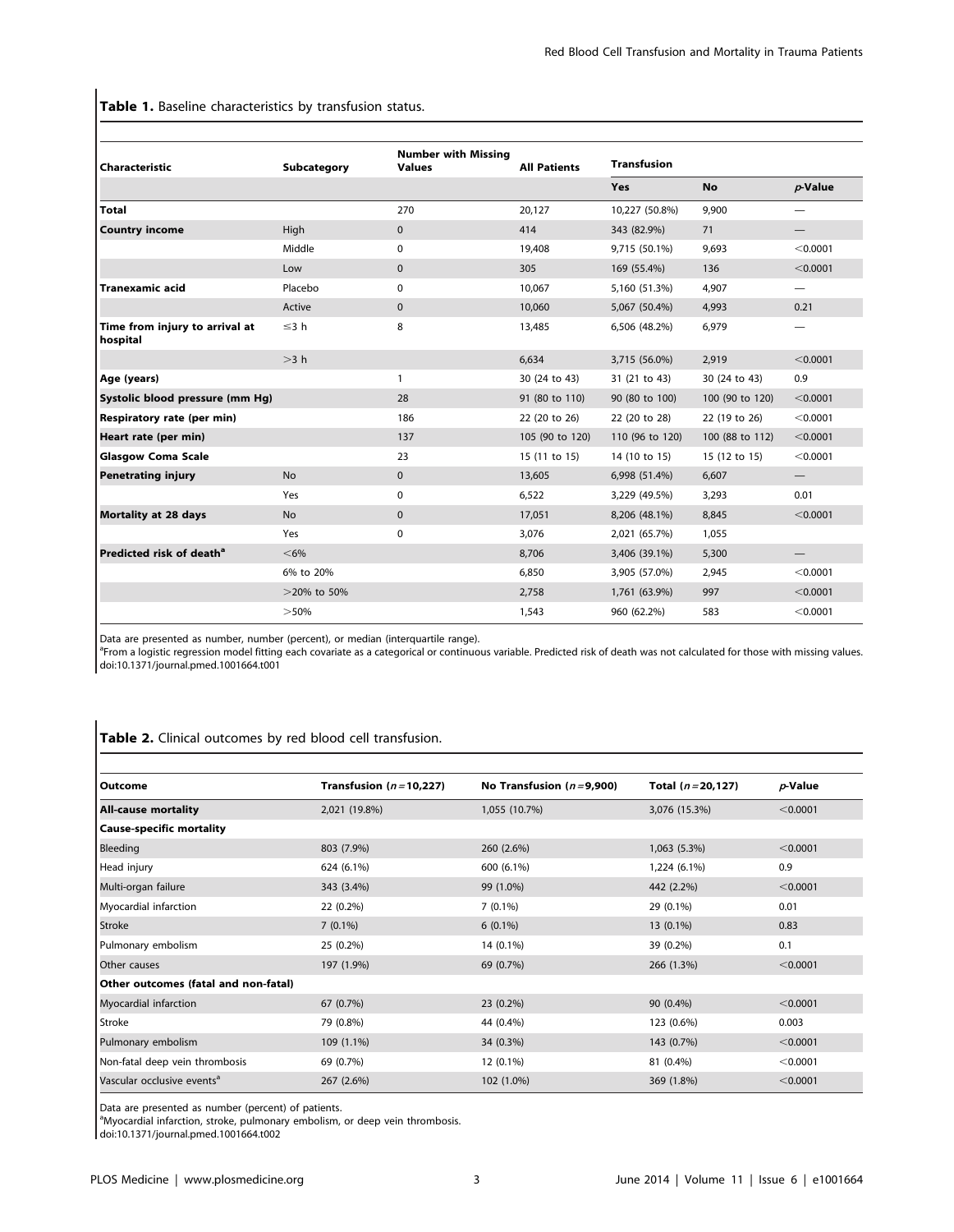Table 1. Baseline characteristics by transfusion status.

| <b>Characteristic</b>                      | Subcategory    | <b>Number with Missing</b><br><b>Values</b> | <b>All Patients</b> | <b>Transfusion</b> |                 |                          |
|--------------------------------------------|----------------|---------------------------------------------|---------------------|--------------------|-----------------|--------------------------|
|                                            |                |                                             |                     | Yes                | <b>No</b>       | $p$ -Value               |
| Total                                      |                | 270                                         | 20,127              | 10,227 (50.8%)     | 9,900           | $\overline{\phantom{0}}$ |
| <b>Country income</b>                      | High           | $\pmb{0}$                                   | 414                 | 343 (82.9%)        | 71              |                          |
|                                            | Middle         | 0                                           | 19,408              | 9,715 (50.1%)      | 9,693           | < 0.0001                 |
|                                            | Low            | $\mathbf 0$                                 | 305                 | 169 (55.4%)        | 136             | < 0.0001                 |
| Tranexamic acid                            | Placebo        | 0                                           | 10,067              | 5,160 (51.3%)      | 4,907           | $\overline{\phantom{0}}$ |
|                                            | Active         | $\mathbf 0$                                 | 10,060              | 5,067 (50.4%)      | 4,993           | 0.21                     |
| Time from injury to arrival at<br>hospital | $\leq$ 3 h     | 8                                           | 13,485              | 6,506 (48.2%)      | 6,979           | —                        |
|                                            | >3 h           |                                             | 6,634               | 3,715 (56.0%)      | 2,919           | < 0.0001                 |
| Age (years)                                |                | 1                                           | 30 (24 to 43)       | 31 (21 to 43)      | 30 (24 to 43)   | 0.9                      |
| Systolic blood pressure (mm Hq)            |                | 28                                          | 91 (80 to 110)      | 90 (80 to 100)     | 100 (90 to 120) | < 0.0001                 |
| Respiratory rate (per min)                 |                | 186                                         | 22 (20 to 26)       | 22 (20 to 28)      | 22 (19 to 26)   | < 0.0001                 |
| Heart rate (per min)                       |                | 137                                         | 105 (90 to 120)     | 110 (96 to 120)    | 100 (88 to 112) | < 0.0001                 |
| <b>Glasgow Coma Scale</b>                  |                | 23                                          | 15 (11 to 15)       | 14 (10 to 15)      | 15 (12 to 15)   | < 0.0001                 |
| <b>Penetrating injury</b>                  | <b>No</b>      | $\pmb{0}$                                   | 13,605              | 6,998 (51.4%)      | 6,607           | $\qquad \qquad -$        |
|                                            | Yes            | $\mathbf 0$                                 | 6,522               | 3,229 (49.5%)      | 3,293           | 0.01                     |
| Mortality at 28 days                       | No             | $\mathbf 0$                                 | 17,051              | 8,206 (48.1%)      | 8,845           | < 0.0001                 |
|                                            | Yes            | 0                                           | 3,076               | 2,021 (65.7%)      | 1,055           |                          |
| Predicted risk of death <sup>a</sup>       | $<$ 6%         |                                             | 8,706               | 3,406 (39.1%)      | 5,300           |                          |
|                                            | 6% to 20%      |                                             | 6,850               | 3,905 (57.0%)      | 2,945           | < 0.0001                 |
|                                            | $>$ 20% to 50% |                                             | 2,758               | 1,761 (63.9%)      | 997             | < 0.0001                 |
|                                            | >50%           |                                             | 1,543               | 960 (62.2%)        | 583             | < 0.0001                 |

Data are presented as number, number (percent), or median (interquartile range).<br><sup>a</sup>From a logistic regression model fitting each covariate as a categorical or continuous variable. Predicted risk of death was not calculate doi:10.1371/journal.pmed.1001664.t001

## Table 2. Clinical outcomes by red blood cell transfusion.

| <b>Outcome</b>                         | Transfusion $(n=10,227)$ | No Transfusion ( $n = 9,900$ ) | Total $(n=20, 127)$ | $p$ -Value |
|----------------------------------------|--------------------------|--------------------------------|---------------------|------------|
| <b>All-cause mortality</b>             | 2,021 (19.8%)            | 1,055 (10.7%)                  | 3,076 (15.3%)       | < 0.0001   |
| <b>Cause-specific mortality</b>        |                          |                                |                     |            |
| Bleeding                               | 803 (7.9%)               | 260 (2.6%)                     | 1,063 (5.3%)        | < 0.0001   |
| Head injury                            | 624 (6.1%)               | 600 (6.1%)                     | 1,224 (6.1%)        | 0.9        |
| Multi-organ failure                    | 343 (3.4%)               | 99 (1.0%)                      | 442 (2.2%)          | < 0.0001   |
| Myocardial infarction                  | 22 (0.2%)                | $7(0.1\%)$                     | 29 (0.1%)           | 0.01       |
| Stroke                                 | $7(0.1\%)$               | $6(0.1\%)$                     | 13 (0.1%)           | 0.83       |
| Pulmonary embolism                     | 25 (0.2%)                | 14 (0.1%)                      | 39 (0.2%)           | 0.1        |
| Other causes                           | 197 (1.9%)               | 69 (0.7%)                      | 266 (1.3%)          | < 0.0001   |
| Other outcomes (fatal and non-fatal)   |                          |                                |                     |            |
| Myocardial infarction                  | 67 (0.7%)                | 23 (0.2%)                      | 90 (0.4%)           | < 0.0001   |
| Stroke                                 | 79 (0.8%)                | 44 (0.4%)                      | 123 (0.6%)          | 0.003      |
| Pulmonary embolism                     | 109 (1.1%)               | 34 (0.3%)                      | 143 (0.7%)          | < 0.0001   |
| Non-fatal deep vein thrombosis         | 69 (0.7%)                | 12 (0.1%)                      | 81 (0.4%)           | < 0.0001   |
| Vascular occlusive events <sup>a</sup> | 267 (2.6%)               | 102 (1.0%)                     | 369 (1.8%)          | < 0.0001   |

Data are presented as number (percent) of patients. a Myocardial infarction, stroke, pulmonary embolism, or deep vein thrombosis.

doi:10.1371/journal.pmed.1001664.t002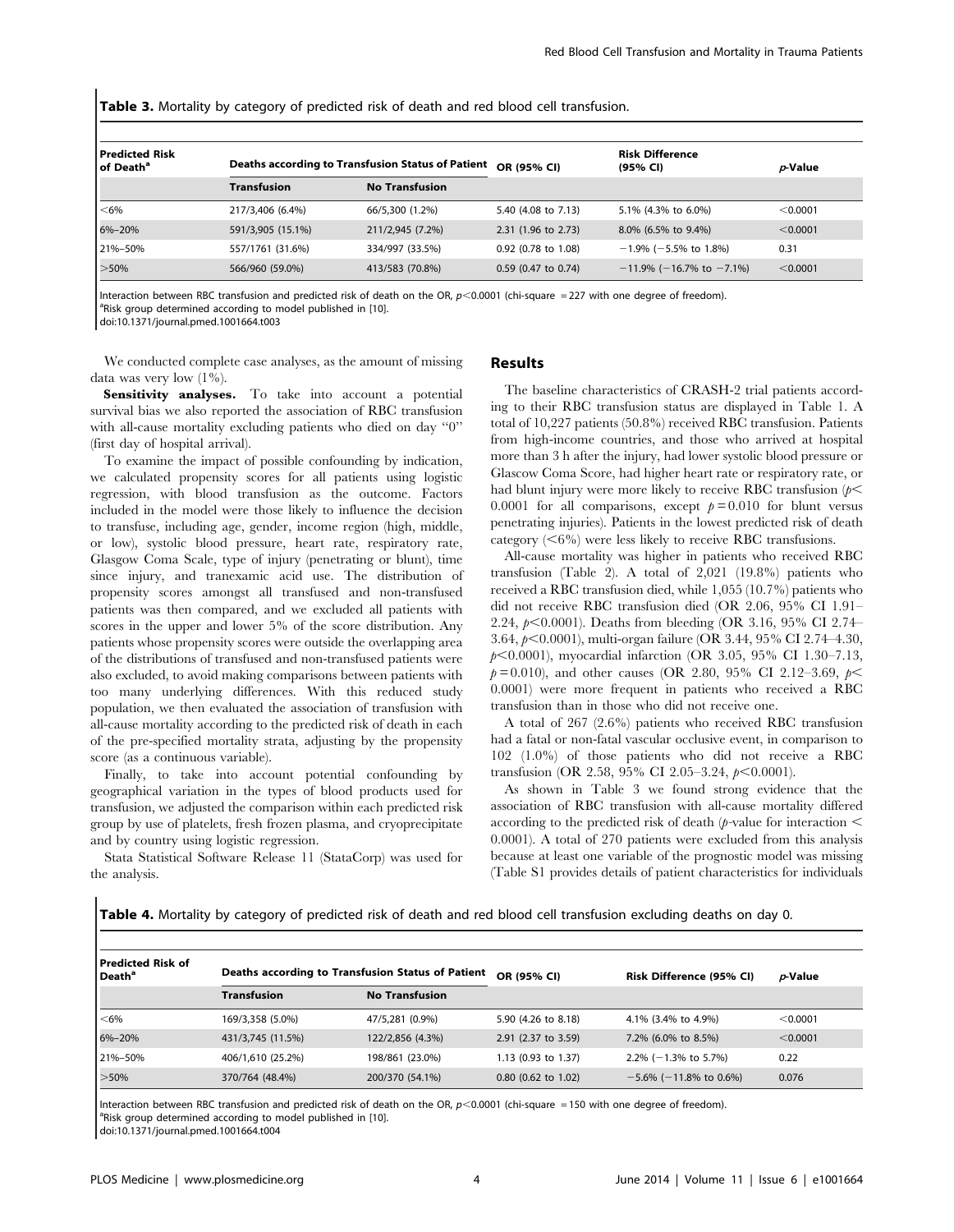Table 3. Mortality by category of predicted risk of death and red blood cell transfusion.

| Predicted Risk<br>of Death <sup>a</sup> |                    | Deaths according to Transfusion Status of Patient |                       | <b>Risk Difference</b><br>(95% CI) | $p$ -Value |
|-----------------------------------------|--------------------|---------------------------------------------------|-----------------------|------------------------------------|------------|
|                                         | <b>Transfusion</b> | <b>No Transfusion</b>                             |                       |                                    |            |
| $<$ 6%                                  | 217/3,406 (6.4%)   | 66/5,300 (1.2%)                                   | 5.40 (4.08 to 7.13)   | 5.1% (4.3% to 6.0%)                | < 0.0001   |
| 6%-20%                                  | 591/3,905 (15.1%)  | 211/2,945 (7.2%)                                  | 2.31 (1.96 to 2.73)   | 8.0% (6.5% to 9.4%)                | < 0.0001   |
| 21%-50%                                 | 557/1761 (31.6%)   | 334/997 (33.5%)                                   | 0.92 (0.78 to 1.08)   | $-1.9\%$ (-5.5% to 1.8%)           | 0.31       |
| >50%                                    | 566/960 (59.0%)    | 413/583 (70.8%)                                   | $0.59$ (0.47 to 0.74) | $-11.9\%$ (-16.7% to -7.1%)        | < 0.0001   |

Interaction between RBC transfusion and predicted risk of death on the OR,  $p<0.0001$  (chi-square = 227 with one degree of freedom). <sup>a</sup>Risk group determined according to model published in [10].

doi:10.1371/journal.pmed.1001664.t003

We conducted complete case analyses, as the amount of missing data was very low (1%).

Sensitivity analyses. To take into account a potential survival bias we also reported the association of RBC transfusion with all-cause mortality excluding patients who died on day "0" (first day of hospital arrival).

To examine the impact of possible confounding by indication, we calculated propensity scores for all patients using logistic regression, with blood transfusion as the outcome. Factors included in the model were those likely to influence the decision to transfuse, including age, gender, income region (high, middle, or low), systolic blood pressure, heart rate, respiratory rate, Glasgow Coma Scale, type of injury (penetrating or blunt), time since injury, and tranexamic acid use. The distribution of propensity scores amongst all transfused and non-transfused patients was then compared, and we excluded all patients with scores in the upper and lower 5% of the score distribution. Any patients whose propensity scores were outside the overlapping area of the distributions of transfused and non-transfused patients were also excluded, to avoid making comparisons between patients with too many underlying differences. With this reduced study population, we then evaluated the association of transfusion with all-cause mortality according to the predicted risk of death in each of the pre-specified mortality strata, adjusting by the propensity score (as a continuous variable).

Finally, to take into account potential confounding by geographical variation in the types of blood products used for transfusion, we adjusted the comparison within each predicted risk group by use of platelets, fresh frozen plasma, and cryoprecipitate and by country using logistic regression.

Stata Statistical Software Release 11 (StataCorp) was used for the analysis.

#### Results

The baseline characteristics of CRASH-2 trial patients according to their RBC transfusion status are displayed in Table 1. A total of 10,227 patients (50.8%) received RBC transfusion. Patients from high-income countries, and those who arrived at hospital more than 3 h after the injury, had lower systolic blood pressure or Glascow Coma Score, had higher heart rate or respiratory rate, or had blunt injury were more likely to receive RBC transfusion  $(p<$ 0.0001 for all comparisons, except  $p = 0.010$  for blunt versus penetrating injuries). Patients in the lowest predicted risk of death category  $(<6\%)$  were less likely to receive RBC transfusions.

All-cause mortality was higher in patients who received RBC transfusion (Table 2). A total of 2,021 (19.8%) patients who received a RBC transfusion died, while 1,055 (10.7%) patients who did not receive RBC transfusion died (OR 2.06, 95% CI 1.91– 2.24,  $p<0.0001$ ). Deaths from bleeding (OR 3.16, 95% CI 2.74– 3.64, p<0.0001), multi-organ failure (OR 3.44, 95% CI 2.74–4.30,  $p$ <0.0001), myocardial infarction (OR 3.05, 95% CI 1.30–7.13,  $p = 0.010$ , and other causes (OR 2.80, 95% CI 2.12–3.69,  $p <$ 0.0001) were more frequent in patients who received a RBC transfusion than in those who did not receive one.

A total of 267 (2.6%) patients who received RBC transfusion had a fatal or non-fatal vascular occlusive event, in comparison to 102 (1.0%) of those patients who did not receive a RBC transfusion (OR 2.58, 95% CI 2.05–3.24,  $p<0.0001$ ).

As shown in Table 3 we found strong evidence that the association of RBC transfusion with all-cause mortality differed according to the predicted risk of death  $(p$ -value for interaction  $\leq$ 0.0001). A total of 270 patients were excluded from this analysis because at least one variable of the prognostic model was missing (Table S1 provides details of patient characteristics for individuals

| Table 4. Mortality by category of predicted risk of death and red blood cell transfusion excluding deaths on day 0. |
|---------------------------------------------------------------------------------------------------------------------|
|---------------------------------------------------------------------------------------------------------------------|

| <b>Predicted Risk of</b><br>Death <sup>a</sup> | Deaths according to Transfusion Status of Patient |                       | OR (95% CI)           | <b>Risk Difference (95% CI)</b> | $p$ -Value |
|------------------------------------------------|---------------------------------------------------|-----------------------|-----------------------|---------------------------------|------------|
|                                                | <b>Transfusion</b>                                | <b>No Transfusion</b> |                       |                                 |            |
| $ <$ 6%                                        | 169/3.358 (5.0%)                                  | 47/5,281 (0.9%)       | 5.90 (4.26 to 8.18)   | 4.1% (3.4% to 4.9%)             | < 0.0001   |
| 6%-20%                                         | 431/3,745 (11.5%)                                 | 122/2,856 (4.3%)      | 2.91 (2.37 to 3.59)   | 7.2% (6.0% to 8.5%)             | < 0.0001   |
| 21%-50%                                        | 406/1.610 (25.2%)                                 | 198/861 (23.0%)       | 1.13 (0.93 to 1.37)   | $2.2\%$ (-1.3% to 5.7%)         | 0.22       |
| >50%                                           | 370/764 (48.4%)                                   | 200/370 (54.1%)       | $0.80$ (0.62 to 1.02) | $-5.6\%$ ( $-11.8\%$ to 0.6%)   | 0.076      |

Interaction between RBC transfusion and predicted risk of death on the OR,  $p$ <0.0001 (chi-square = 150 with one degree of freedom). <sup>a</sup>Risk group determined according to model published in [10].

doi:10.1371/journal.pmed.1001664.t004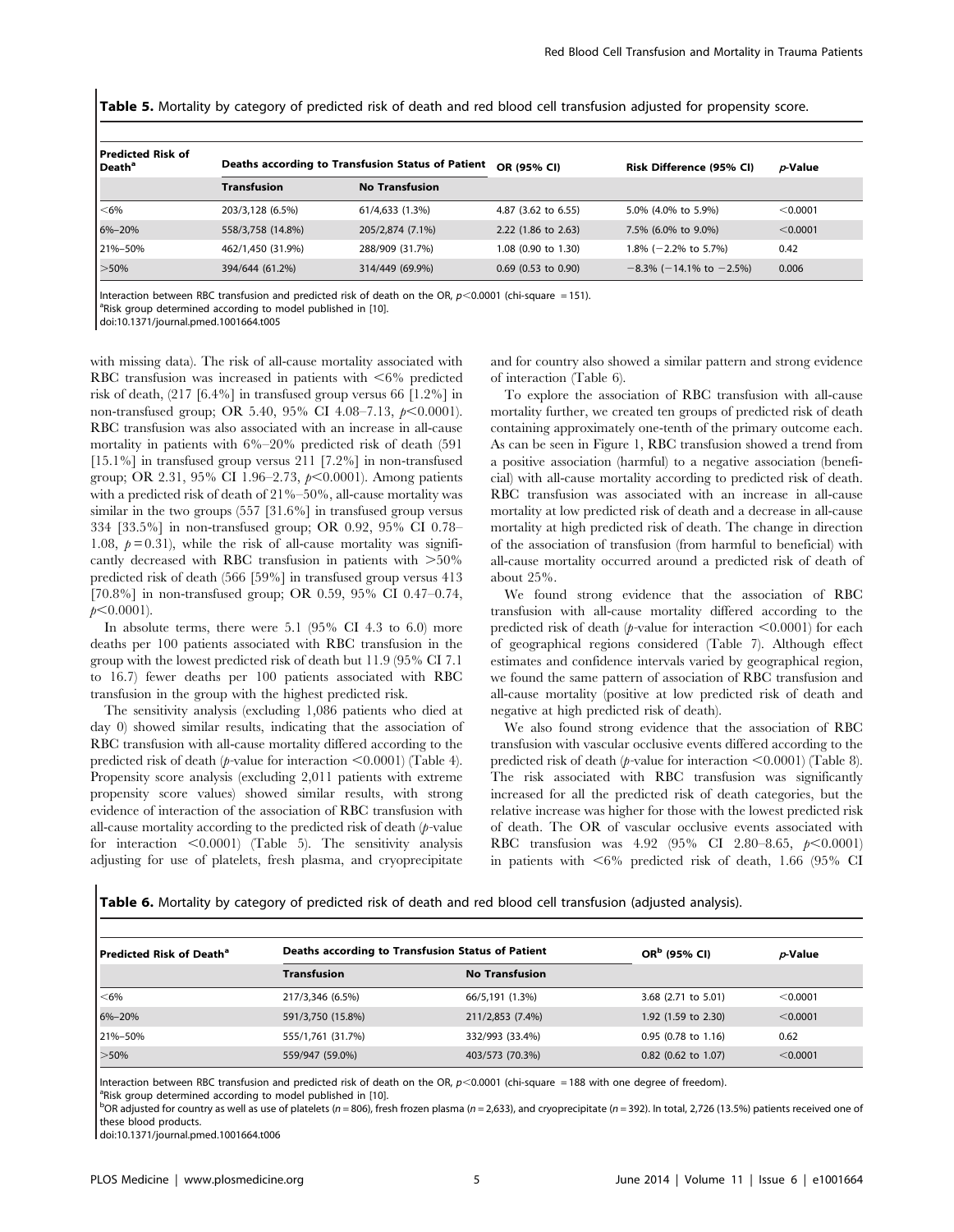Table 5. Mortality by category of predicted risk of death and red blood cell transfusion adjusted for propensity score.

| <b>Predicted Risk of</b><br>l Deathª | Deaths according to Transfusion Status of Patient |                       | OR (95% CI)           | Risk Difference (95% CI)   | p-Value  |
|--------------------------------------|---------------------------------------------------|-----------------------|-----------------------|----------------------------|----------|
|                                      | <b>Transfusion</b>                                | <b>No Transfusion</b> |                       |                            |          |
| $<$ 6%                               | 203/3,128 (6.5%)                                  | 61/4,633 (1.3%)       | 4.87 (3.62 to 6.55)   | 5.0% (4.0% to 5.9%)        | < 0.0001 |
| 6%-20%                               | 558/3,758 (14.8%)                                 | 205/2,874 (7.1%)      | 2.22 (1.86 to 2.63)   | 7.5% (6.0% to 9.0%)        | < 0.0001 |
| 21%-50%                              | 462/1,450 (31.9%)                                 | 288/909 (31.7%)       | 1.08 (0.90 to 1.30)   | $1.8\%$ (-2.2% to 5.7%)    | 0.42     |
| >50%                                 | 394/644 (61.2%)                                   | 314/449 (69.9%)       | $0.69$ (0.53 to 0.90) | $-8.3\%$ (-14.1% to -2.5%) | 0.006    |

Interaction between RBC transfusion and predicted risk of death on the OR,  $p$ <0.0001 (chi-square = 151).

<sup>a</sup>Risk group determined according to model published in [10].

doi:10.1371/journal.pmed.1001664.t005

with missing data). The risk of all-cause mortality associated with RBC transfusion was increased in patients with  $\leq 6\%$  predicted risk of death, (217 [6.4%] in transfused group versus 66 [1.2%] in non-transfused group; OR 5.40, 95% CI 4.08–7.13,  $p<0.0001$ ). RBC transfusion was also associated with an increase in all-cause mortality in patients with 6%–20% predicted risk of death (591 [15.1%] in transfused group versus 211 [7.2%] in non-transfused group; OR 2.31, 95% CI 1.96-2.73,  $p<0.0001$ ). Among patients with a predicted risk of death of 21%–50%, all-cause mortality was similar in the two groups (557 [31.6%] in transfused group versus 334 [33.5%] in non-transfused group; OR 0.92, 95% CI 0.78– 1.08,  $p = 0.31$ , while the risk of all-cause mortality was significantly decreased with RBC transfusion in patients with  $>50\%$ predicted risk of death (566 [59%] in transfused group versus 413 [70.8%] in non-transfused group; OR 0.59, 95% CI 0.47–0.74,  $p<0.0001$ ).

In absolute terms, there were 5.1 (95% CI 4.3 to 6.0) more deaths per 100 patients associated with RBC transfusion in the group with the lowest predicted risk of death but 11.9 (95% CI 7.1 to 16.7) fewer deaths per 100 patients associated with RBC transfusion in the group with the highest predicted risk.

The sensitivity analysis (excluding 1,086 patients who died at day 0) showed similar results, indicating that the association of RBC transfusion with all-cause mortality differed according to the predicted risk of death (*p*-value for interaction  $\leq 0.0001$ ) (Table 4). Propensity score analysis (excluding 2,011 patients with extreme propensity score values) showed similar results, with strong evidence of interaction of the association of RBC transfusion with all-cause mortality according to the predicted risk of death  $(p$ -value for interaction  $\leq 0.0001$ ) (Table 5). The sensitivity analysis adjusting for use of platelets, fresh plasma, and cryoprecipitate and for country also showed a similar pattern and strong evidence of interaction (Table 6).

To explore the association of RBC transfusion with all-cause mortality further, we created ten groups of predicted risk of death containing approximately one-tenth of the primary outcome each. As can be seen in Figure 1, RBC transfusion showed a trend from a positive association (harmful) to a negative association (beneficial) with all-cause mortality according to predicted risk of death. RBC transfusion was associated with an increase in all-cause mortality at low predicted risk of death and a decrease in all-cause mortality at high predicted risk of death. The change in direction of the association of transfusion (from harmful to beneficial) with all-cause mortality occurred around a predicted risk of death of about 25%.

We found strong evidence that the association of RBC transfusion with all-cause mortality differed according to the predicted risk of death ( $p$ -value for interaction  $\leq 0.0001$ ) for each of geographical regions considered (Table 7). Although effect estimates and confidence intervals varied by geographical region, we found the same pattern of association of RBC transfusion and all-cause mortality (positive at low predicted risk of death and negative at high predicted risk of death).

We also found strong evidence that the association of RBC transfusion with vascular occlusive events differed according to the predicted risk of death ( $p$ -value for interaction  $\leq 0.0001$ ) (Table 8). The risk associated with RBC transfusion was significantly increased for all the predicted risk of death categories, but the relative increase was higher for those with the lowest predicted risk of death. The OR of vascular occlusive events associated with RBC transfusion was 4.92 (95% CI 2.80-8.65,  $p < 0.0001$ ) in patients with  $\leq 6\%$  predicted risk of death, 1.66 (95% CI

Table 6. Mortality by category of predicted risk of death and red blood cell transfusion (adjusted analysis).

| Predicted Risk of Death <sup>a</sup> |                    | Deaths according to Transfusion Status of Patient | OR <sup>b</sup> (95% CI) | p-Value  |
|--------------------------------------|--------------------|---------------------------------------------------|--------------------------|----------|
|                                      | <b>Transfusion</b> | <b>No Transfusion</b>                             |                          |          |
| $ <$ 6%                              | 217/3,346 (6.5%)   | 66/5,191 (1.3%)                                   | 3.68 (2.71 to 5.01)      | < 0.0001 |
| 6%-20%                               | 591/3,750 (15.8%)  | 211/2,853 (7.4%)                                  | 1.92 (1.59 to 2.30)      | < 0.0001 |
| 21%-50%                              | 555/1,761 (31.7%)  | 332/993 (33.4%)                                   | 0.95 (0.78 to 1.16)      | 0.62     |
| >50%                                 | 559/947 (59.0%)    | 403/573 (70.3%)                                   | 0.82 (0.62 to 1.07)      | < 0.0001 |

Interaction between RBC transfusion and predicted risk of death on the OR,  $p$ <0.0001 (chi-square = 188 with one degree of freedom).

<sup>a</sup>Risk group determined according to model published in [10].

 $b$ OR adjusted for country as well as use of platelets (n = 806), fresh frozen plasma (n = 2,633), and cryoprecipitate (n = 392). In total, 2,726 (13.5%) patients received one of these blood products.

doi:10.1371/journal.pmed.1001664.t006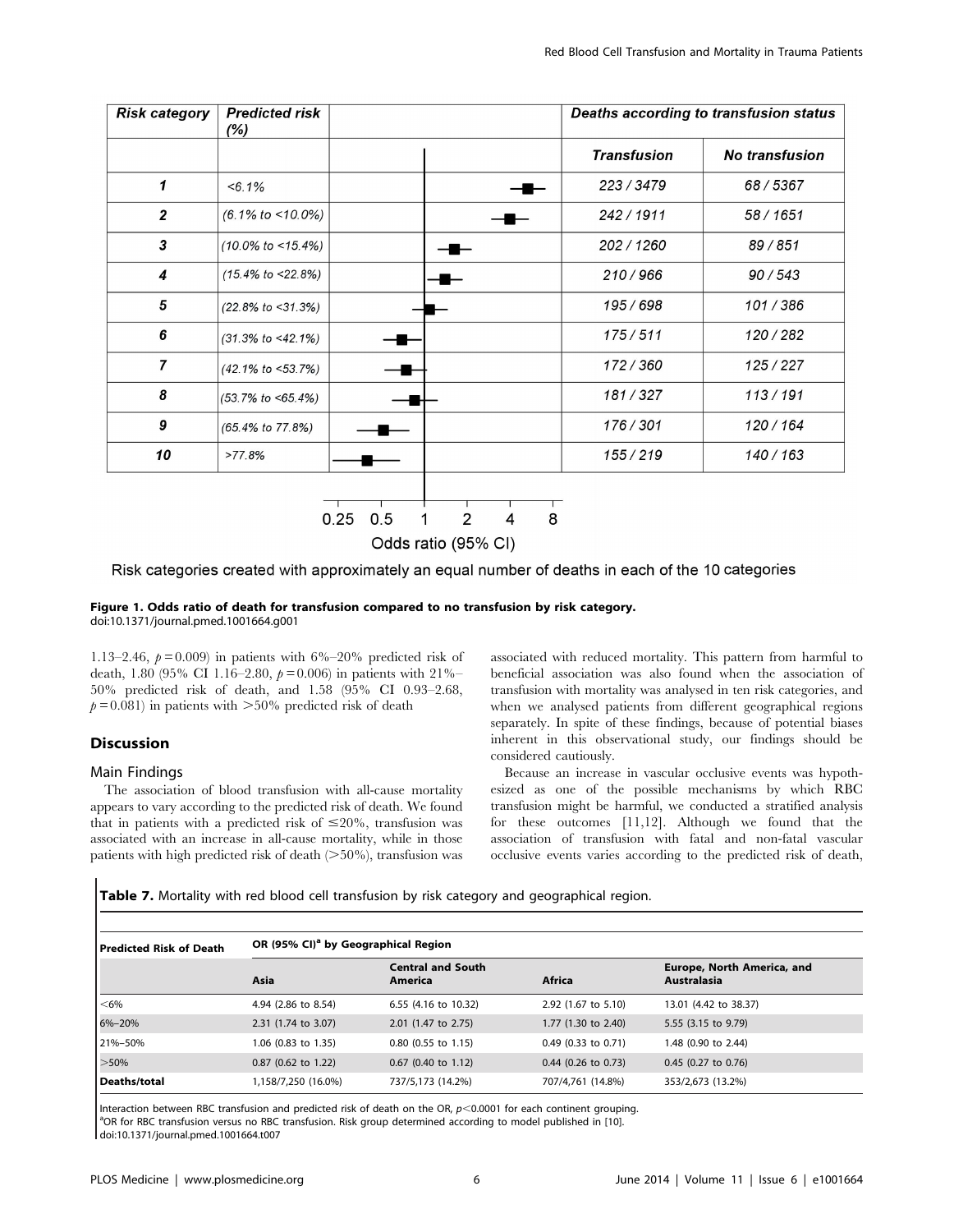| <b>Risk category</b> | <b>Predicted risk</b><br>(%)    |                          | Deaths according to transfusion status |  |  |
|----------------------|---------------------------------|--------------------------|----------------------------------------|--|--|
|                      |                                 | <b>Transfusion</b>       | <b>No transfusion</b>                  |  |  |
| $\mathbf{1}$         | $< 6.1\%$                       | 223/3479                 | 68/5367                                |  |  |
| $\mathbf{2}$         | $(6.1\% \text{ to } <10.0\%)$   | 242/1911                 | 58/1651                                |  |  |
| 3                    | $(10.0\% \text{ to } < 15.4\%)$ | 202 / 1260               | 89/851                                 |  |  |
| 4                    | $(15.4\% \text{ to } 22.8\%)$   | 210/966                  | 90/543                                 |  |  |
| 5                    | $(22.8\% \text{ to } < 31.3\%)$ | 195/698                  | 101/386                                |  |  |
| 6                    | $(31.3\% \text{ to } 42.1\%)$   | 175/511                  | 120/282                                |  |  |
| $\overline{7}$       | (42.1% to <53.7%)               | 172/360                  | 125/227                                |  |  |
| 8                    | (53.7% to <65.4%)               | 181/327                  | 113/191                                |  |  |
| 9                    | (65.4% to 77.8%)                | 176/301                  | 120/164                                |  |  |
| 10                   | >77.8%                          | 155/219                  | 140/163                                |  |  |
|                      | 0.25<br>0.5                     | $\mathfrak{p}$<br>8<br>4 |                                        |  |  |

Odds ratio (95% CI)

Risk categories created with approximately an equal number of deaths in each of the 10 categories

#### Figure 1. Odds ratio of death for transfusion compared to no transfusion by risk category. doi:10.1371/journal.pmed.1001664.g001

1.13–2.46,  $p = 0.009$  in patients with  $6\%$ –20% predicted risk of death, 1.80 (95% CI 1.16–2.80,  $p = 0.006$ ) in patients with 21%– 50% predicted risk of death, and 1.58 (95% CI 0.93–2.68,  $p = 0.081$ ) in patients with  $> 50\%$  predicted risk of death

#### Discussion

#### Main Findings

The association of blood transfusion with all-cause mortality appears to vary according to the predicted risk of death. We found that in patients with a predicted risk of  $\leq 20\%$ , transfusion was associated with an increase in all-cause mortality, while in those patients with high predicted risk of death  $(>50\%)$ , transfusion was associated with reduced mortality. This pattern from harmful to beneficial association was also found when the association of transfusion with mortality was analysed in ten risk categories, and when we analysed patients from different geographical regions separately. In spite of these findings, because of potential biases inherent in this observational study, our findings should be considered cautiously.

Because an increase in vascular occlusive events was hypothesized as one of the possible mechanisms by which RBC transfusion might be harmful, we conducted a stratified analysis for these outcomes [11,12]. Although we found that the association of transfusion with fatal and non-fatal vascular occlusive events varies according to the predicted risk of death,

Table 7. Mortality with red blood cell transfusion by risk category and geographical region.

| Predicted Risk of Death | OR (95% CI) <sup>a</sup> by Geographical Region |                                     |                       |                                           |  |  |
|-------------------------|-------------------------------------------------|-------------------------------------|-----------------------|-------------------------------------------|--|--|
|                         | Asia                                            | <b>Central and South</b><br>America | Africa                | Europe, North America, and<br>Australasia |  |  |
| $<$ 6%                  | 4.94 (2.86 to 8.54)                             | 6.55 (4.16 to 10.32)                | 2.92 (1.67 to 5.10)   | 13.01 (4.42 to 38.37)                     |  |  |
| 6%-20%                  | 2.31 (1.74 to 3.07)                             | 2.01 (1.47 to 2.75)                 | 1.77 (1.30 to 2.40)   | 5.55 (3.15 to 9.79)                       |  |  |
| 21%-50%                 | 1.06 (0.83 to 1.35)                             | $0.80$ (0.55 to 1.15)               | $0.49$ (0.33 to 0.71) | 1.48 (0.90 to 2.44)                       |  |  |
| >50%                    | $0.87$ (0.62 to 1.22)                           | $0.67$ (0.40 to 1.12)               | $0.44$ (0.26 to 0.73) | $0.45$ (0.27 to 0.76)                     |  |  |
| Deaths/total            | 1,158/7,250 (16.0%)                             | 737/5,173 (14.2%)                   | 707/4,761 (14.8%)     | 353/2,673 (13.2%)                         |  |  |

Interaction between RBC transfusion and predicted risk of death on the OR,  $p$ <0.0001 for each continent grouping. <sup>a</sup>OR for RBC transfusion versus no RBC transfusion. Risk group determined according to model published in [10]. doi:10.1371/journal.pmed.1001664.t007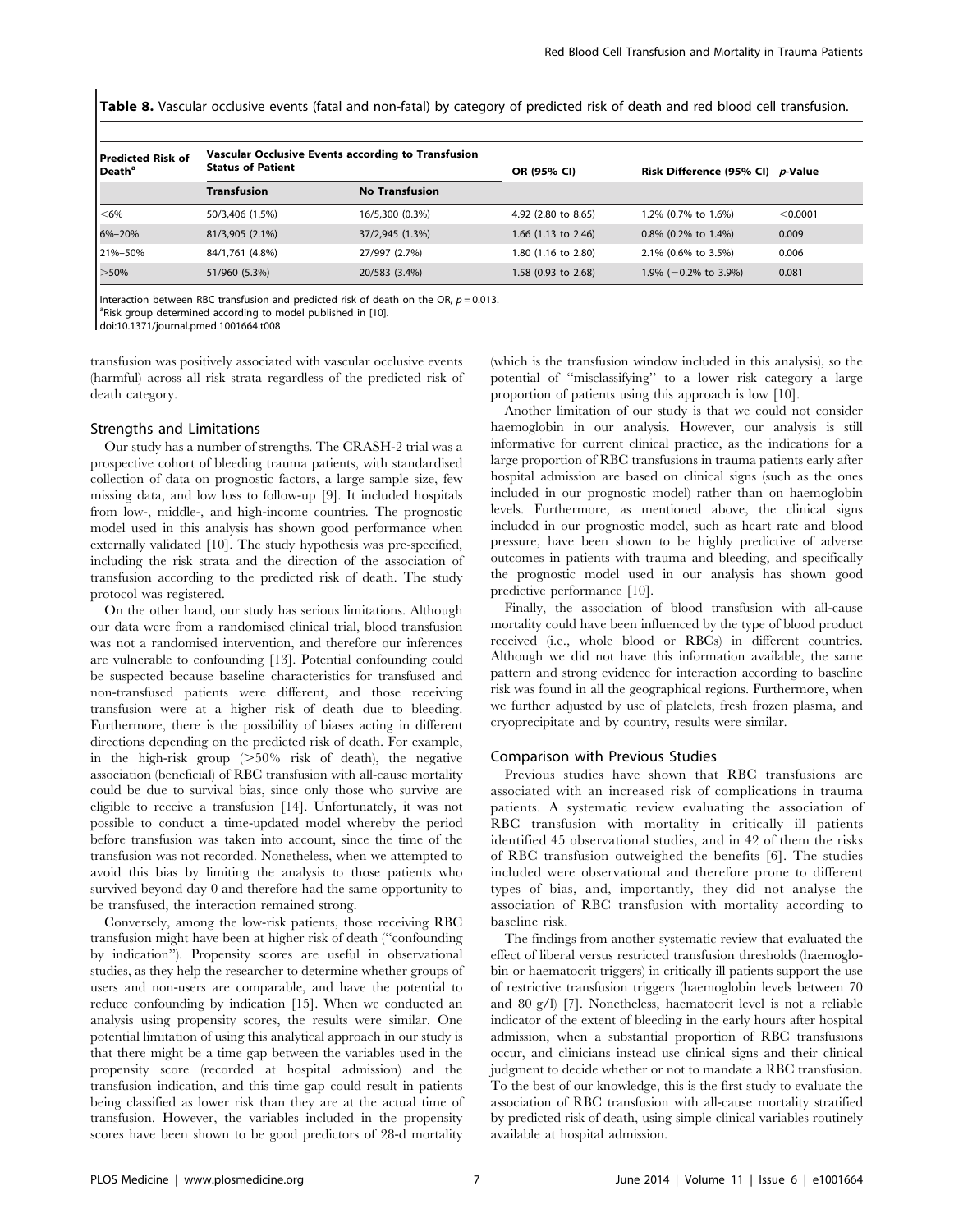Table 8. Vascular occlusive events (fatal and non-fatal) by category of predicted risk of death and red blood cell transfusion.

| Predicted Risk of<br>l Deathª | Vascular Occlusive Events according to Transfusion<br><b>Status of Patient</b> |                       | OR (95% CI)         | Risk Difference (95% CI) p-Value |          |
|-------------------------------|--------------------------------------------------------------------------------|-----------------------|---------------------|----------------------------------|----------|
|                               | <b>Transfusion</b>                                                             | <b>No Transfusion</b> |                     |                                  |          |
| $<$ 6%                        | 50/3,406 (1.5%)                                                                | 16/5,300 (0.3%)       | 4.92 (2.80 to 8.65) | 1.2% (0.7% to 1.6%)              | < 0.0001 |
| 6%-20%                        | 81/3,905 (2.1%)                                                                | 37/2,945 (1.3%)       | 1.66 (1.13 to 2.46) | $0.8\%$ (0.2% to 1.4%)           | 0.009    |
| 21%-50%                       | 84/1,761 (4.8%)                                                                | 27/997 (2.7%)         | 1.80 (1.16 to 2.80) | 2.1% (0.6% to 3.5%)              | 0.006    |
| >50%                          | 51/960 (5.3%)                                                                  | 20/583 (3.4%)         | 1.58 (0.93 to 2.68) | $1.9\%$ (-0.2% to 3.9%)          | 0.081    |

Interaction between RBC transfusion and predicted risk of death on the OR,  $p = 0.013$ .

<sup>a</sup>Risk group determined according to model published in [10].

doi:10.1371/journal.pmed.1001664.t008

transfusion was positively associated with vascular occlusive events (harmful) across all risk strata regardless of the predicted risk of death category.

#### Strengths and Limitations

Our study has a number of strengths. The CRASH-2 trial was a prospective cohort of bleeding trauma patients, with standardised collection of data on prognostic factors, a large sample size, few missing data, and low loss to follow-up [9]. It included hospitals from low-, middle-, and high-income countries. The prognostic model used in this analysis has shown good performance when externally validated [10]. The study hypothesis was pre-specified, including the risk strata and the direction of the association of transfusion according to the predicted risk of death. The study protocol was registered.

On the other hand, our study has serious limitations. Although our data were from a randomised clinical trial, blood transfusion was not a randomised intervention, and therefore our inferences are vulnerable to confounding [13]. Potential confounding could be suspected because baseline characteristics for transfused and non-transfused patients were different, and those receiving transfusion were at a higher risk of death due to bleeding. Furthermore, there is the possibility of biases acting in different directions depending on the predicted risk of death. For example, in the high-risk group  $(>50\%$  risk of death), the negative association (beneficial) of RBC transfusion with all-cause mortality could be due to survival bias, since only those who survive are eligible to receive a transfusion [14]. Unfortunately, it was not possible to conduct a time-updated model whereby the period before transfusion was taken into account, since the time of the transfusion was not recorded. Nonetheless, when we attempted to avoid this bias by limiting the analysis to those patients who survived beyond day 0 and therefore had the same opportunity to be transfused, the interaction remained strong.

Conversely, among the low-risk patients, those receiving RBC transfusion might have been at higher risk of death (''confounding by indication''). Propensity scores are useful in observational studies, as they help the researcher to determine whether groups of users and non-users are comparable, and have the potential to reduce confounding by indication [15]. When we conducted an analysis using propensity scores, the results were similar. One potential limitation of using this analytical approach in our study is that there might be a time gap between the variables used in the propensity score (recorded at hospital admission) and the transfusion indication, and this time gap could result in patients being classified as lower risk than they are at the actual time of transfusion. However, the variables included in the propensity scores have been shown to be good predictors of 28-d mortality (which is the transfusion window included in this analysis), so the potential of ''misclassifying'' to a lower risk category a large proportion of patients using this approach is low [10].

Another limitation of our study is that we could not consider haemoglobin in our analysis. However, our analysis is still informative for current clinical practice, as the indications for a large proportion of RBC transfusions in trauma patients early after hospital admission are based on clinical signs (such as the ones included in our prognostic model) rather than on haemoglobin levels. Furthermore, as mentioned above, the clinical signs included in our prognostic model, such as heart rate and blood pressure, have been shown to be highly predictive of adverse outcomes in patients with trauma and bleeding, and specifically the prognostic model used in our analysis has shown good predictive performance [10].

Finally, the association of blood transfusion with all-cause mortality could have been influenced by the type of blood product received (i.e., whole blood or RBCs) in different countries. Although we did not have this information available, the same pattern and strong evidence for interaction according to baseline risk was found in all the geographical regions. Furthermore, when we further adjusted by use of platelets, fresh frozen plasma, and cryoprecipitate and by country, results were similar.

#### Comparison with Previous Studies

Previous studies have shown that RBC transfusions are associated with an increased risk of complications in trauma patients. A systematic review evaluating the association of RBC transfusion with mortality in critically ill patients identified 45 observational studies, and in 42 of them the risks of RBC transfusion outweighed the benefits [6]. The studies included were observational and therefore prone to different types of bias, and, importantly, they did not analyse the association of RBC transfusion with mortality according to baseline risk.

The findings from another systematic review that evaluated the effect of liberal versus restricted transfusion thresholds (haemoglobin or haematocrit triggers) in critically ill patients support the use of restrictive transfusion triggers (haemoglobin levels between 70 and 80 g/l) [7]. Nonetheless, haematocrit level is not a reliable indicator of the extent of bleeding in the early hours after hospital admission, when a substantial proportion of RBC transfusions occur, and clinicians instead use clinical signs and their clinical judgment to decide whether or not to mandate a RBC transfusion. To the best of our knowledge, this is the first study to evaluate the association of RBC transfusion with all-cause mortality stratified by predicted risk of death, using simple clinical variables routinely available at hospital admission.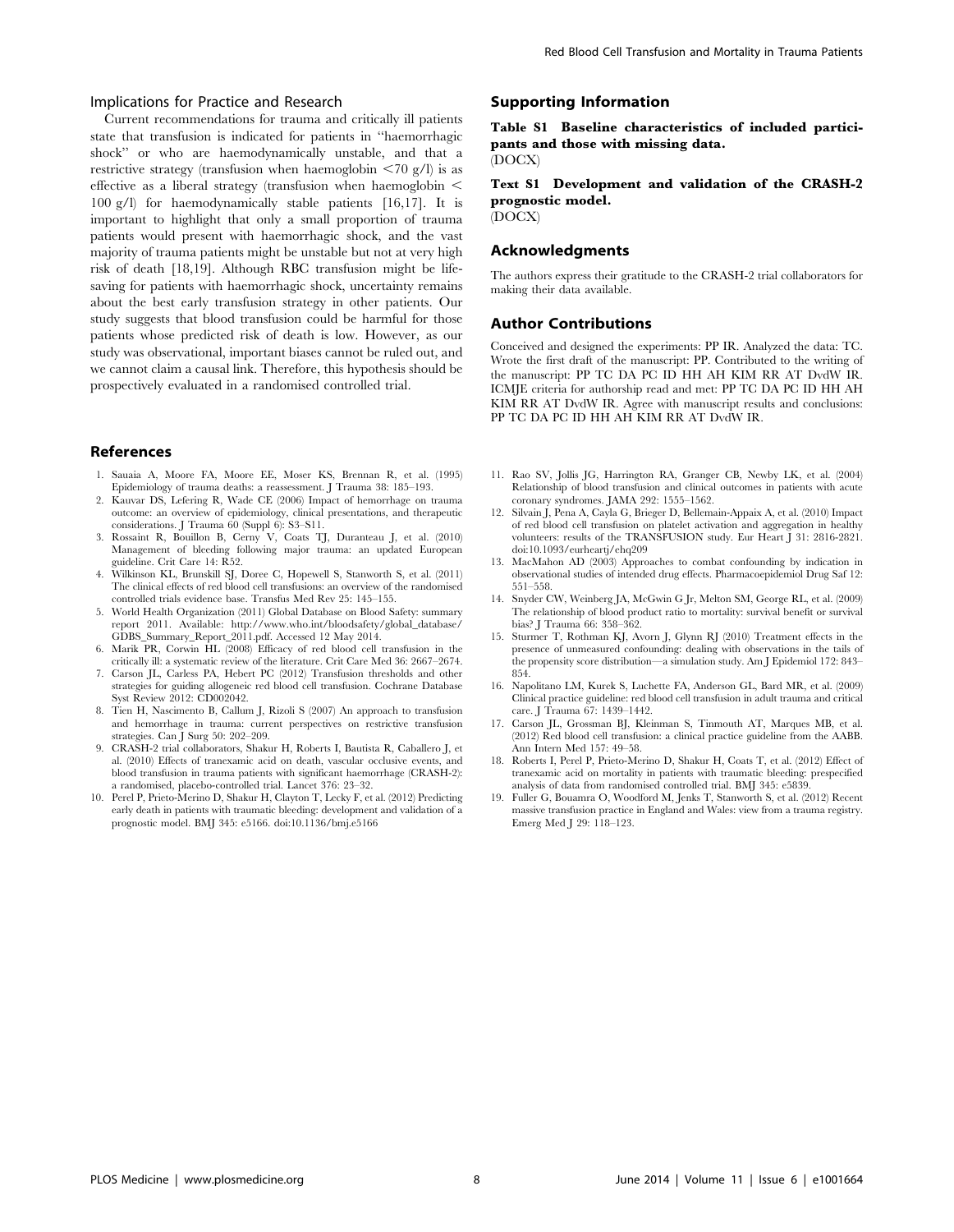#### Implications for Practice and Research

Current recommendations for trauma and critically ill patients state that transfusion is indicated for patients in ''haemorrhagic shock'' or who are haemodynamically unstable, and that a restrictive strategy (transfusion when haemoglobin  $\langle 70 \text{ g/l} \rangle$  is as effective as a liberal strategy (transfusion when haemoglobin  $\leq$ 100 g/l) for haemodynamically stable patients [16,17]. It is important to highlight that only a small proportion of trauma patients would present with haemorrhagic shock, and the vast majority of trauma patients might be unstable but not at very high risk of death [18,19]. Although RBC transfusion might be lifesaving for patients with haemorrhagic shock, uncertainty remains about the best early transfusion strategy in other patients. Our study suggests that blood transfusion could be harmful for those patients whose predicted risk of death is low. However, as our study was observational, important biases cannot be ruled out, and we cannot claim a causal link. Therefore, this hypothesis should be prospectively evaluated in a randomised controlled trial.

#### References

- 1. Sauaia A, Moore FA, Moore EE, Moser KS, Brennan R, et al. (1995) Epidemiology of trauma deaths: a reassessment. J Trauma 38: 185–193.
- 2. Kauvar DS, Lefering R, Wade CE (2006) Impact of hemorrhage on trauma outcome: an overview of epidemiology, clinical presentations, and therapeutic considerations. J Trauma 60 (Suppl 6): S3–S11.
- 3. Rossaint R, Bouillon B, Cerny V, Coats TJ, Duranteau J, et al. (2010) Management of bleeding following major trauma: an updated European guideline. Crit Care 14: R52.
- 4. Wilkinson KL, Brunskill SJ, Doree C, Hopewell S, Stanworth S, et al. (2011) The clinical effects of red blood cell transfusions: an overview of the randomised controlled trials evidence base. Transfus Med Rev 25: 145–155.
- 5. World Health Organization (2011) Global Database on Blood Safety: summary report 2011. Available: [http://www.who.int/bloodsafety/global\\_database/](http://www.who.int/bloodsafety/global_database/GDBS_Summary_Report_2011.pdf) [GDBS\\_Summary\\_Report\\_2011.pdf](http://www.who.int/bloodsafety/global_database/GDBS_Summary_Report_2011.pdf). Accessed 12 May 2014.
- 6. Marik PR, Corwin HL (2008) Efficacy of red blood cell transfusion in the critically ill: a systematic review of the literature. Crit Care Med 36: 2667–2674.
- 7. Carson JL, Carless PA, Hebert PC (2012) Transfusion thresholds and other strategies for guiding allogeneic red blood cell transfusion. Cochrane Database Syst Review 2012: CD002042.
- 8. Tien H, Nascimento B, Callum J, Rizoli S (2007) An approach to transfusion and hemorrhage in trauma: current perspectives on restrictive transfusion strategies. Can J Surg 50: 202-209.
- 9. CRASH-2 trial collaborators, Shakur H, Roberts I, Bautista R, Caballero J, et al. (2010) Effects of tranexamic acid on death, vascular occlusive events, and blood transfusion in trauma patients with significant haemorrhage (CRASH-2): a randomised, placebo-controlled trial. Lancet 376: 23–32.
- 10. Perel P, Prieto-Merino D, Shakur H, Clayton T, Lecky F, et al. (2012) Predicting early death in patients with traumatic bleeding: development and validation of a prognostic model. BMJ 345: e5166. doi:10.1136/bmj.e5166

#### Supporting Information

Table S1 Baseline characteristics of included participants and those with missing data. (DOCX)

Text S1 Development and validation of the CRASH-2 prognostic model.

(DOCX)

#### Acknowledgments

The authors express their gratitude to the CRASH-2 trial collaborators for making their data available.

#### Author Contributions

Conceived and designed the experiments: PP IR. Analyzed the data: TC. Wrote the first draft of the manuscript: PP. Contributed to the writing of the manuscript: PP TC DA PC ID HH AH KIM RR AT DvdW IR. [ICMJE](http://www.icmje.org/) criteria for authorship read and met: PP TC DA PC ID HH AH KIM RR AT DvdW IR. Agree with manuscript results and conclusions: PP TC DA PC ID HH AH KIM RR AT DvdW IR.

- 11. Rao SV, Jollis JG, Harrington RA, Granger CB, Newby LK, et al. (2004) Relationship of blood transfusion and clinical outcomes in patients with acute coronary syndromes. JAMA 292: 1555–1562.
- 12. Silvain J, Pena A, Cayla G, Brieger D, Bellemain-Appaix A, et al. (2010) Impact of red blood cell transfusion on platelet activation and aggregation in healthy volunteers: results of the TRANSFUSION study. Eur Heart J 31: 2816-2821. doi:10.1093/eurheartj/ehq209
- 13. MacMahon AD (2003) Approaches to combat confounding by indication in observational studies of intended drug effects. Pharmacoepidemiol Drug Saf 12: 551–558.
- 14. Snyder CW, Weinberg JA, McGwin G Jr, Melton SM, George RL, et al. (2009) The relationship of blood product ratio to mortality: survival benefit or survival bias? J Trauma 66: 358–362.
- 15. Sturmer T, Rothman KJ, Avorn J, Glynn RJ (2010) Treatment effects in the presence of unmeasured confounding: dealing with observations in the tails of the propensity score distribution—a simulation study. Am J Epidemiol 172: 843– 854.
- 16. Napolitano LM, Kurek S, Luchette FA, Anderson GL, Bard MR, et al. (2009) Clinical practice guideline: red blood cell transfusion in adult trauma and critical care. J Trauma 67: 1439–1442.
- 17. Carson JL, Grossman BJ, Kleinman S, Tinmouth AT, Marques MB, et al. (2012) Red blood cell transfusion: a clinical practice guideline from the AABB. Ann Intern Med 157: 49–58.
- 18. Roberts I, Perel P, Prieto-Merino D, Shakur H, Coats T, et al. (2012) Effect of tranexamic acid on mortality in patients with traumatic bleeding: prespecified analysis of data from randomised controlled trial. BMJ 345: e5839.
- 19. Fuller G, Bouamra O, Woodford M, Jenks T, Stanworth S, et al. (2012) Recent massive transfusion practice in England and Wales: view from a trauma registry. Emerg Med J 29: 118–123.